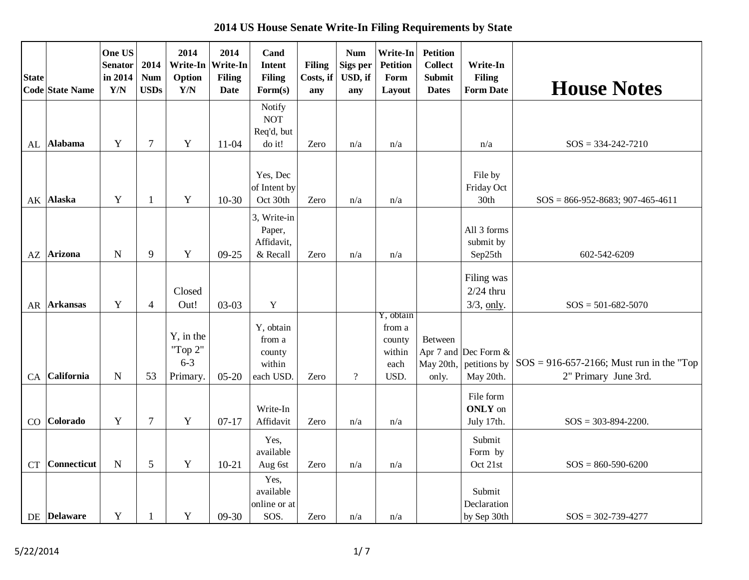**2014 US House Senate Write-In Filing Requirements by State**

| <b>State</b><br><b>Code State Name</b> | One US<br><b>Senator</b><br>in 2014<br>Y/N | 2014<br><b>Num</b><br><b>USDs</b> | 2014<br>Option<br>$\mathbf{Y}/\mathbf{N}$   | 2014<br>Write-In   Write-In<br><b>Filing</b><br><b>Date</b> | Cand<br><b>Intent</b><br><b>Filing</b><br>$\mathbf{Form}(s)$ | <b>Filing</b><br>Costs, if<br>any | <b>Num</b><br>Sigs per<br>USD, if<br>any | Write-In<br><b>Petition</b><br>Form<br>Layout           | <b>Petition</b><br><b>Collect</b><br><b>Submit</b><br><b>Dates</b> | Write-In<br><b>Filing</b><br><b>Form Date</b> | <b>House Notes</b>                                                  |
|----------------------------------------|--------------------------------------------|-----------------------------------|---------------------------------------------|-------------------------------------------------------------|--------------------------------------------------------------|-----------------------------------|------------------------------------------|---------------------------------------------------------|--------------------------------------------------------------------|-----------------------------------------------|---------------------------------------------------------------------|
| Alabama<br>AL                          | Y                                          | $\tau$                            | $\mathbf Y$                                 | $11-04$                                                     | Notify<br><b>NOT</b><br>Req'd, but<br>do it!                 | Zero                              | n/a                                      | n/a                                                     |                                                                    | n/a                                           | $SOS = 334 - 242 - 7210$                                            |
| <b>Alaska</b><br>AK                    | Y                                          | $\mathbf{1}$                      | Y                                           | $10-30$                                                     | Yes, Dec<br>of Intent by<br>Oct 30th                         | Zero                              | n/a                                      | n/a                                                     |                                                                    | File by<br>Friday Oct<br>30th                 | $SOS = 866-952-8683$ ; 907-465-4611                                 |
| <b>Arizona</b><br>AZ                   | $\mathbf N$                                | 9                                 | $\mathbf Y$                                 | 09-25                                                       | 3, Write-in<br>Paper,<br>Affidavit,<br>& Recall              | Zero                              | n/a                                      | n/a                                                     |                                                                    | All 3 forms<br>submit by<br>Sep25th           | 602-542-6209                                                        |
| <b>Arkansas</b><br>AR                  | Y                                          | $\overline{4}$                    | Closed<br>Out!                              | $03-03$                                                     | $\mathbf Y$                                                  |                                   |                                          |                                                         |                                                                    | Filing was<br>$2/24$ thru<br>$3/3$ , only.    | $SOS = 501-682-5070$                                                |
| California<br>CA                       | $\mathbf N$                                | 53                                | Y, in the<br>"Top 2"<br>$6 - 3$<br>Primary. | $05-20$                                                     | Y, obtain<br>from a<br>county<br>within<br>each USD.         | Zero                              | $\overline{?}$                           | Y, obtain<br>from a<br>county<br>within<br>each<br>USD. | Between<br>Apr 7 and<br>May 20th,<br>only.                         | Dec Form &<br>petitions by<br>May 20th.       | $SOS = 916-657-2166$ ; Must run in the "Top<br>2" Primary June 3rd. |
| Colorado<br>CO                         | Y                                          | $\overline{7}$                    | Y                                           | $07-17$                                                     | Write-In<br>Affidavit                                        | Zero                              | n/a                                      | n/a                                                     |                                                                    | File form<br><b>ONLY</b> on<br>July 17th.     | $SOS = 303 - 894 - 2200.$                                           |
| <b>Connecticut</b><br><b>CT</b>        | $\mathbf N$                                | 5                                 | $\mathbf Y$                                 | $10 - 21$                                                   | Yes,<br>available<br>Aug 6st                                 | Zero                              | n/a                                      | n/a                                                     |                                                                    | Submit<br>Form by<br>Oct 21st                 | $SOS = 860-590-6200$                                                |
| DE Delaware                            | $\mathbf Y$                                | $\mathbf{1}$                      | $\mathbf Y$                                 | $09-30$                                                     | Yes,<br>available<br>online or at<br>SOS.                    | Zero                              | n/a                                      | n/a                                                     |                                                                    | Submit<br>Declaration<br>by Sep 30th          | $SOS = 302 - 739 - 4277$                                            |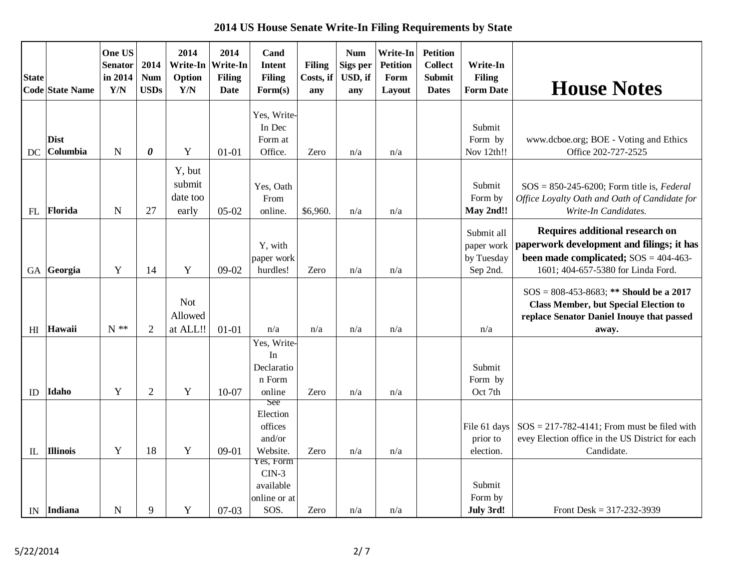**2014 US House Senate Write-In Filing Requirements by State**

| <b>State</b>   | <b>Code State Name</b>  | One US<br><b>Senator</b><br>in 2014<br>Y/N | 2014<br><b>Num</b><br><b>USDs</b> | 2014<br>Option<br>$\mathbf{Y}/\mathbf{N}$ | 2014<br>Write-In   Write-In<br><b>Filing</b><br>Date | Cand<br><b>Intent</b><br><b>Filing</b><br>$\mathbf{Form}(s)$ | <b>Filing</b><br>Costs, if<br>any | <b>Num</b><br>Sigs per<br>USD, if<br>any | <b>Write-In</b><br><b>Petition</b><br>Form<br>Layout | <b>Petition</b><br><b>Collect</b><br><b>Submit</b><br><b>Dates</b> | Write-In<br><b>Filing</b><br><b>Form Date</b>      | <b>House Notes</b>                                                                                                                                            |
|----------------|-------------------------|--------------------------------------------|-----------------------------------|-------------------------------------------|------------------------------------------------------|--------------------------------------------------------------|-----------------------------------|------------------------------------------|------------------------------------------------------|--------------------------------------------------------------------|----------------------------------------------------|---------------------------------------------------------------------------------------------------------------------------------------------------------------|
| DC             | <b>Dist</b><br>Columbia | $\mathbf N$                                | $\boldsymbol{\theta}$             | Y                                         | $01 - 01$                                            | Yes, Write-<br>In Dec<br>Form at<br>Office.                  | Zero                              | n/a                                      | n/a                                                  |                                                                    | Submit<br>Form by<br>Nov 12th!!                    | www.dcboe.org; BOE - Voting and Ethics<br>Office 202-727-2525                                                                                                 |
| FL             | Florida                 | $\mathbf N$                                | 27                                | Y, but<br>submit<br>date too<br>early     | $05-02$                                              | Yes, Oath<br>From<br>online.                                 | \$6,960.                          | n/a                                      | n/a                                                  |                                                                    | Submit<br>Form by<br>May 2nd!!                     | $SOS = 850-245-6200$ ; Form title is, Federal<br>Office Loyalty Oath and Oath of Candidate for<br>Write-In Candidates.                                        |
| GA             | Georgia                 | Y                                          | 14                                | Y                                         | 09-02                                                | Y, with<br>paper work<br>hurdles!                            | Zero                              | n/a                                      | n/a                                                  |                                                                    | Submit all<br>paper work<br>by Tuesday<br>Sep 2nd. | Requires additional research on<br>paperwork development and filings; it has<br>been made complicated; $SOS = 404-463-$<br>1601; 404-657-5380 for Linda Ford. |
|                |                         |                                            |                                   | <b>Not</b><br>Allowed                     |                                                      |                                                              |                                   |                                          |                                                      |                                                                    |                                                    | $SOS = 808-453-8683$ ; ** Should be a 2017<br><b>Class Member, but Special Election to</b><br>replace Senator Daniel Inouye that passed                       |
| H <sub>I</sub> | Hawaii                  | $N$ **                                     | $\overline{2}$                    | at ALL!!                                  | $01 - 01$                                            | n/a                                                          | n/a                               | n/a                                      | n/a                                                  |                                                                    | n/a                                                | away.                                                                                                                                                         |
| ID             | Idaho                   | Y                                          | $\overline{2}$                    | Y                                         | 10-07                                                | Yes, Write-<br>In<br>Declaratio<br>n Form<br>online          | Zero                              | n/a                                      | n/a                                                  |                                                                    | Submit<br>Form by<br>Oct 7th                       |                                                                                                                                                               |
| IL             | Illinois                | Y                                          | 18                                | Y                                         | $09-01$                                              | See<br>Election<br>offices<br>and/or<br>Website.             | Zero                              | n/a                                      | n/a                                                  |                                                                    | File 61 days<br>prior to<br>election.              | $SOS = 217-782-4141$ ; From must be filed with<br>evey Election office in the US District for each<br>Candidate.                                              |
|                |                         |                                            |                                   |                                           |                                                      | Yes, Form<br>$CIN-3$<br>available<br>online or at            |                                   |                                          |                                                      |                                                                    | Submit<br>Form by                                  |                                                                                                                                                               |
|                | IN Indiana              | $\mathbf N$                                | 9                                 | Y                                         | $07-03$                                              | SOS.                                                         | Zero                              | n/a                                      | n/a                                                  |                                                                    | July 3rd!                                          | Front Desk = $317-232-3939$                                                                                                                                   |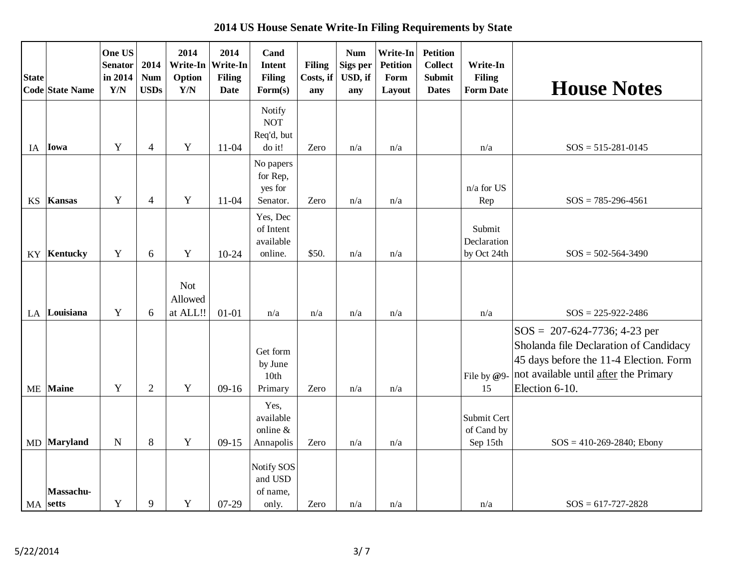**2014 US House Senate Write-In Filing Requirements by State**

| <b>State</b> | Code State Name       | One US<br><b>Senator</b><br>in 2014<br>Y/N | 2014<br><b>Num</b><br><b>USDs</b> | 2014<br>Option<br>$\mathbf{Y}/\mathbf{N}$ | 2014<br>Write-In   Write-In<br><b>Filing</b><br><b>Date</b> | Cand<br><b>Intent</b><br><b>Filing</b><br>$\mathbf{Form}(s)$ | <b>Filing</b><br>Costs, if<br>any | <b>Num</b><br>Sigs per<br>USD, if<br>any | Write-In<br><b>Petition</b><br>Form<br>Layout | <b>Petition</b><br><b>Collect</b><br><b>Submit</b><br><b>Dates</b> | Write-In<br><b>Filing</b><br><b>Form Date</b> | <b>House Notes</b>                                                                                                                                                             |
|--------------|-----------------------|--------------------------------------------|-----------------------------------|-------------------------------------------|-------------------------------------------------------------|--------------------------------------------------------------|-----------------------------------|------------------------------------------|-----------------------------------------------|--------------------------------------------------------------------|-----------------------------------------------|--------------------------------------------------------------------------------------------------------------------------------------------------------------------------------|
| IA           | Iowa                  | $\mathbf Y$                                | $\overline{\mathbf{4}}$           | $\mathbf Y$                               | $11-04$                                                     | Notify<br><b>NOT</b><br>Req'd, but<br>do it!                 | Zero                              | n/a                                      | n/a                                           |                                                                    | n/a                                           | $SOS = 515-281-0145$                                                                                                                                                           |
| <b>KS</b>    | Kansas                | Y                                          | $\overline{4}$                    | $\mathbf Y$                               | $11 - 04$                                                   | No papers<br>for Rep,<br>yes for<br>Senator.                 | Zero                              | n/a                                      | n/a                                           |                                                                    | n/a for US<br>Rep                             | $SOS = 785 - 296 - 4561$                                                                                                                                                       |
| KY           | Kentucky              | Y                                          | 6                                 | $\mathbf Y$                               | $10-24$                                                     | Yes, Dec<br>of Intent<br>available<br>online.                | \$50.                             | n/a                                      | n/a                                           |                                                                    | Submit<br>Declaration<br>by Oct 24th          | $SOS = 502 - 564 - 3490$                                                                                                                                                       |
| LA           | Louisiana             | $\mathbf Y$                                | 6                                 | <b>Not</b><br>Allowed<br>at ALL!!         | $01 - 01$                                                   | n/a                                                          | n/a                               | n/a                                      | n/a                                           |                                                                    | n/a                                           | $SOS = 225-922-2486$                                                                                                                                                           |
| ME           | Maine                 | $\mathbf Y$                                | $\overline{2}$                    | $\mathbf Y$                               | $09-16$                                                     | Get form<br>by June<br>10th<br>Primary                       | Zero                              | n/a                                      | n/a                                           |                                                                    | File by @9-<br>15                             | $SOS = 207-624-7736$ ; 4-23 per<br>Sholanda file Declaration of Candidacy<br>45 days before the 11-4 Election. Form<br>not available until after the Primary<br>Election 6-10. |
| MD           | Maryland              | $\mathbf N$                                | 8                                 | $\mathbf Y$                               | $09-15$                                                     | Yes,<br>available<br>online &<br>Annapolis                   | Zero                              | n/a                                      | n/a                                           |                                                                    | Submit Cert<br>of Cand by<br>Sep 15th         | $SOS = 410-269-2840$ ; Ebony                                                                                                                                                   |
|              | Massachu-<br>MA setts | $\mathbf Y$                                | 9                                 | $\mathbf Y$                               | 07-29                                                       | Notify SOS<br>and USD<br>of name,<br>only.                   | Zero                              | n/a                                      | n/a                                           |                                                                    | n/a                                           | $SOS = 617-727-2828$                                                                                                                                                           |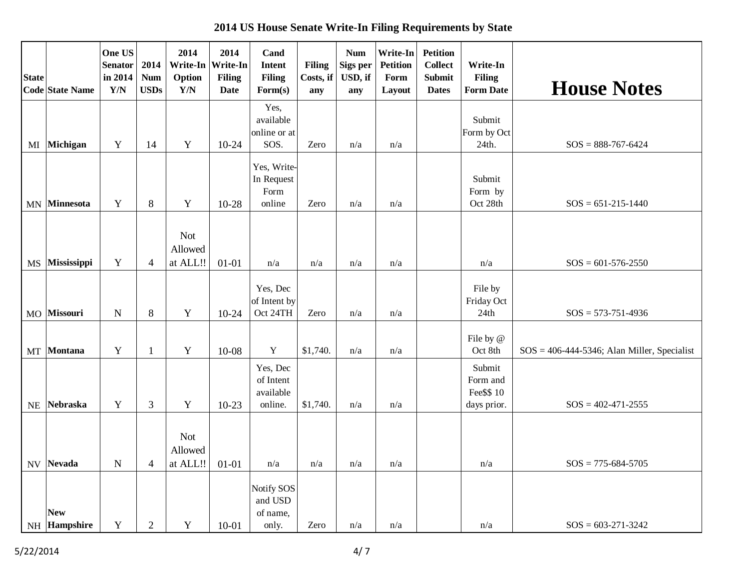**2014 US House Senate Write-In Filing Requirements by State**

| <b>State</b>             | <b>Code State Name</b> | One US<br><b>Senator</b><br>in 2014<br>$\mathbf{Y}/\mathbf{N}$ | 2014<br><b>Num</b><br><b>USDs</b> | 2014<br>Write-In<br>Option<br>$\mathbf{Y}/\mathbf{N}$ | 2014<br>Write-In<br><b>Filing</b><br><b>Date</b> | Cand<br><b>Intent</b><br><b>Filing</b><br>Form(s) | <b>Filing</b><br>Costs, if<br>any | <b>Num</b><br>Sigs per<br>USD, if<br>any | Write-In<br><b>Petition</b><br>Form<br>Layout | <b>Petition</b><br><b>Collect</b><br><b>Submit</b><br><b>Dates</b> | Write-In<br><b>Filing</b><br><b>Form Date</b>   | <b>House Notes</b>                             |
|--------------------------|------------------------|----------------------------------------------------------------|-----------------------------------|-------------------------------------------------------|--------------------------------------------------|---------------------------------------------------|-----------------------------------|------------------------------------------|-----------------------------------------------|--------------------------------------------------------------------|-------------------------------------------------|------------------------------------------------|
| MI                       | Michigan               | Y                                                              | 14                                | $\mathbf Y$                                           | $10-24$                                          | Yes,<br>available<br>online or at<br>SOS.         | Zero                              | n/a                                      | n/a                                           |                                                                    | Submit<br>Form by Oct<br>24th.                  | $SOS = 888-767-6424$                           |
| $\ensuremath{\text{MN}}$ | <b>Minnesota</b>       | Y                                                              | 8                                 | Y                                                     | $10 - 28$                                        | Yes, Write-<br>In Request<br>Form<br>online       | Zero                              | n/a                                      | n/a                                           |                                                                    | Submit<br>Form by<br>Oct 28th                   | $SOS = 651-215-1440$                           |
| <b>MS</b>                | Mississippi            | Y                                                              | $\overline{4}$                    | <b>Not</b><br>Allowed<br>at ALL!!                     | $01 - 01$                                        | n/a                                               | n/a                               | n/a                                      | n/a                                           |                                                                    | n/a                                             | $SOS = 601-576-2550$                           |
| <b>MO</b>                | Missouri               | $\mathbf N$                                                    | 8                                 | $\mathbf Y$                                           | $10-24$                                          | Yes, Dec<br>of Intent by<br>Oct 24TH              | Zero                              | n/a                                      | n/a                                           |                                                                    | File by<br>Friday Oct<br>24th                   | $SOS = 573-751-4936$                           |
| MT                       | <b>Montana</b>         | Y                                                              | $\mathbf{1}$                      | Y                                                     | 10-08                                            | $\mathbf Y$                                       | \$1,740.                          | n/a                                      | n/a                                           |                                                                    | File by @<br>Oct 8th                            | $SOS = 406-444-5346$ ; Alan Miller, Specialist |
| NE                       | <b>Nebraska</b>        | $\mathbf Y$                                                    | $\mathfrak{Z}$                    | $\mathbf Y$                                           | $10-23$                                          | Yes, Dec<br>of Intent<br>available<br>online.     | \$1,740.                          | n/a                                      | n/a                                           |                                                                    | Submit<br>Form and<br>Fee\$\$ 10<br>days prior. | $SOS = 402 - 471 - 2555$                       |
| <b>NV</b>                | Nevada                 | ${\bf N}$                                                      | 4                                 | <b>Not</b><br>Allowed<br>at ALL!!                     | $01 - 01$                                        | n/a                                               | n/a                               | n/a                                      | n/a                                           |                                                                    | n/a                                             | $SOS = 775-684-5705$                           |
|                          | <b>New</b>             |                                                                |                                   |                                                       |                                                  | Notify SOS<br>and USD<br>of name,                 |                                   |                                          |                                               |                                                                    |                                                 |                                                |
|                          | NH Hampshire           | $\mathbf Y$                                                    | $\overline{2}$                    | Y                                                     | $10 - 01$                                        | only.                                             | Zero                              | n/a                                      | n/a                                           |                                                                    | n/a                                             | $SOS = 603-271-3242$                           |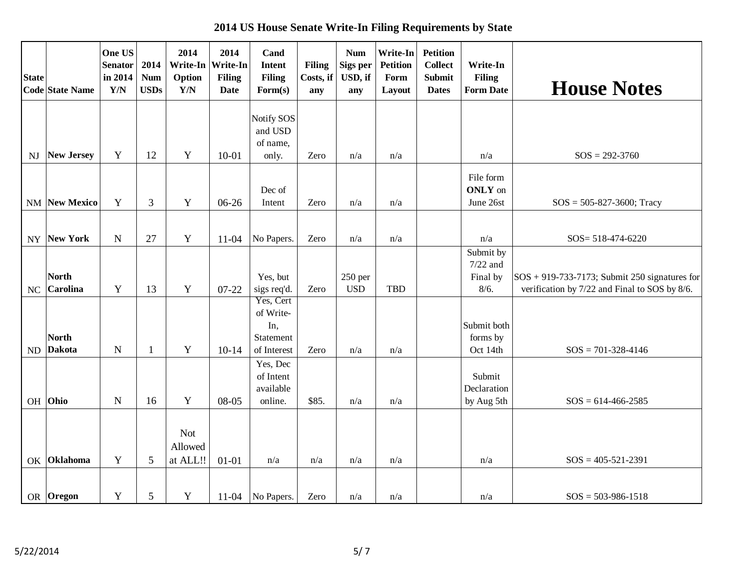**2014 US House Senate Write-In Filing Requirements by State**

| <b>State</b> | <b>Code State Name</b>          | One US<br><b>Senator</b><br>in 2014<br>Y/N | 2014<br><b>Num</b><br><b>USDs</b> | 2014<br>Write-In<br>Option<br>Y/N | 2014<br>Write-In<br><b>Filing</b><br><b>Date</b> | Cand<br><b>Intent</b><br><b>Filing</b><br>Form(s)         | <b>Filing</b><br>Costs, if<br>any | <b>Num</b><br>Sigs per<br>USD, if<br>any | Write-In<br><b>Petition</b><br>Form<br>Layout | <b>Petition</b><br><b>Collect</b><br><b>Submit</b><br><b>Dates</b> | Write-In<br><b>Filing</b><br><b>Form Date</b> | <b>House Notes</b>                                                                                  |
|--------------|---------------------------------|--------------------------------------------|-----------------------------------|-----------------------------------|--------------------------------------------------|-----------------------------------------------------------|-----------------------------------|------------------------------------------|-----------------------------------------------|--------------------------------------------------------------------|-----------------------------------------------|-----------------------------------------------------------------------------------------------------|
|              |                                 |                                            |                                   |                                   |                                                  | Notify SOS<br>and USD<br>of name,                         |                                   |                                          |                                               |                                                                    |                                               |                                                                                                     |
| NJ           | <b>New Jersey</b>               | $\mathbf Y$                                | 12                                | Y                                 | $10 - 01$                                        | only.<br>Dec of                                           | Zero                              | n/a                                      | n/a                                           |                                                                    | n/a<br>File form<br><b>ONLY</b> on            | $SOS = 292-3760$                                                                                    |
|              | NM New Mexico                   | Y                                          | 3                                 | Y                                 | 06-26                                            | Intent                                                    | Zero                              | n/a                                      | n/a                                           |                                                                    | June 26st                                     | $SOS = 505 - 827 - 3600$ ; Tracy                                                                    |
| <b>NY</b>    | New York                        | $\mathbf N$                                | 27                                | $\mathbf Y$                       | $11-04$                                          | No Papers.                                                | Zero                              | n/a                                      | n/a                                           |                                                                    | n/a                                           | SOS= 518-474-6220                                                                                   |
| NC           | <b>North</b><br><b>Carolina</b> | $\mathbf Y$                                | 13                                | $\mathbf Y$                       | 07-22                                            | Yes, but<br>sigs req'd.                                   | Zero                              | $250$ per<br><b>USD</b>                  | TBD                                           |                                                                    | Submit by<br>$7/22$ and<br>Final by<br>8/6.   | $ SOS + 919-733-7173 $ ; Submit 250 signatures for<br>verification by 7/22 and Final to SOS by 8/6. |
| ND           | <b>North</b><br><b>Dakota</b>   | $\mathbf N$                                | $\mathbf{1}$                      | $\mathbf Y$                       | $10-14$                                          | Yes, Cert<br>of Write-<br>In,<br>Statement<br>of Interest | Zero                              | n/a                                      | n/a                                           |                                                                    | Submit both<br>forms by<br>Oct 14th           | $SOS = 701-328-4146$                                                                                |
|              | OH Ohio                         | $\mathbf N$                                | 16                                | $\mathbf Y$                       | 08-05                                            | Yes, Dec<br>of Intent<br>available<br>online.             | \$85.                             | n/a                                      | n/a                                           |                                                                    | Submit<br>Declaration<br>by Aug 5th           | $SOS = 614-466-2585$                                                                                |
| OK           | Oklahoma                        | Y                                          | 5                                 | <b>Not</b><br>Allowed<br>at ALL!! | $01 - 01$                                        | n/a                                                       | n/a                               | n/a                                      | n/a                                           |                                                                    | n/a                                           | $SOS = 405 - 521 - 2391$                                                                            |
|              | OR Oregon                       | Y                                          | $\sqrt{5}$                        | $\mathbf Y$                       |                                                  | 11-04   No Papers.                                        | Zero                              | n/a                                      | n/a                                           |                                                                    | n/a                                           | $SOS = 503-986-1518$                                                                                |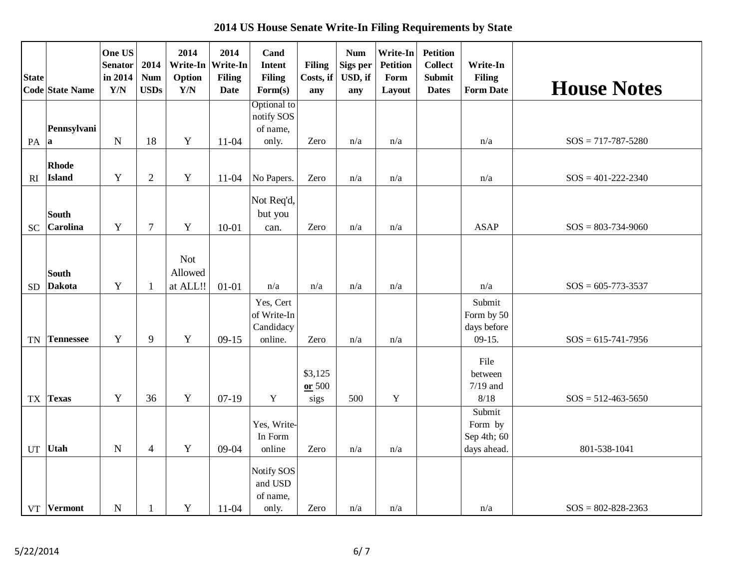**2014 US House Senate Write-In Filing Requirements by State**

| <b>State</b>             |                               | One US<br><b>Senator</b><br>in 2014 | 2014<br><b>Num</b> | 2014<br>Option             | 2014<br>Write-In Write-In<br><b>Filing</b> | Cand<br><b>Intent</b><br><b>Filing</b>           | <b>Filing</b><br>Costs, if  | <b>Num</b><br>Sigs per<br>USD, if | Write-In<br><b>Petition</b><br>Form | <b>Petition</b><br><b>Collect</b><br><b>Submit</b> | Write-In<br><b>Filing</b>                       |                          |
|--------------------------|-------------------------------|-------------------------------------|--------------------|----------------------------|--------------------------------------------|--------------------------------------------------|-----------------------------|-----------------------------------|-------------------------------------|----------------------------------------------------|-------------------------------------------------|--------------------------|
|                          | Code State Name               | Y/N                                 | <b>USDs</b>        | Y/N                        | <b>Date</b>                                | Form(s)                                          | any                         | any                               | Layout                              | <b>Dates</b>                                       | <b>Form Date</b>                                | <b>House Notes</b>       |
|                          | Pennsylvani                   |                                     |                    |                            |                                            | Optional to<br>notify SOS<br>of name,            |                             |                                   |                                     |                                                    |                                                 |                          |
| PA                       | a                             | $\mathbf N$                         | 18                 | Y                          | $11-04$                                    | only.                                            | Zero                        | n/a                               | n/a                                 |                                                    | n/a                                             | $SOS = 717 - 787 - 5280$ |
| RI                       | Rhode<br>Island               | $\mathbf Y$                         | $\sqrt{2}$         | $\mathbf Y$                | $11 - 04$                                  | No Papers.                                       | Zero                        | n/a                               | n/a                                 |                                                    | n/a                                             | $SOS = 401 - 222 - 2340$ |
|                          | <b>South</b>                  |                                     |                    |                            |                                            | Not Req'd,<br>but you                            |                             |                                   |                                     |                                                    |                                                 |                          |
| <b>SC</b>                | <b>Carolina</b>               | Y                                   | $\tau$             | $\mathbf Y$                | $10 - 01$                                  | can.                                             | Zero                        | n/a                               | n/a                                 |                                                    | <b>ASAP</b>                                     | $SOS = 803 - 734 - 9060$ |
| <b>SD</b>                | <b>South</b><br><b>Dakota</b> | Y                                   | $\mathbf{1}$       | Not<br>Allowed<br>at ALL!! | $01 - 01$                                  | n/a                                              | n/a                         | n/a                               | n/a                                 |                                                    | n/a                                             | $SOS = 605 - 773 - 3537$ |
|                          |                               |                                     |                    |                            |                                            |                                                  |                             |                                   |                                     |                                                    | Submit                                          |                          |
| <b>TN</b>                | <b>Tennessee</b>              | Y                                   | 9                  | $\mathbf Y$                | $09-15$                                    | Yes, Cert<br>of Write-In<br>Candidacy<br>online. | Zero                        | n/a                               | n/a                                 |                                                    | Form by 50<br>days before<br>$09-15.$           | $SOS = 615-741-7956$     |
| $\mathcal{T}\mathcal{X}$ | <b>Texas</b>                  | Y                                   | 36                 | $\mathbf Y$                | $07-19$                                    | $\mathbf Y$                                      | \$3,125<br>$or$ 500<br>sigs | 500                               | $\mathbf Y$                         |                                                    | File<br>between<br>$7/19$ and<br>8/18           | $SOS = 512 - 463 - 5650$ |
| UT                       | Utah                          | $\mathbf N$                         | $\overline{4}$     | $\mathbf Y$                | $09 - 04$                                  | Yes, Write-<br>In Form<br>online                 | Zero                        | n/a                               | n/a                                 |                                                    | Submit<br>Form by<br>Sep 4th; 60<br>days ahead. | 801-538-1041             |
|                          | VT Vermont                    | $\mathbf N$                         | $\mathbf{1}$       | $\mathbf Y$                | $11-04$                                    | Notify SOS<br>and USD<br>of name,<br>only.       | Zero                        | n/a                               | n/a                                 |                                                    | n/a                                             | $SOS = 802 - 828 - 2363$ |